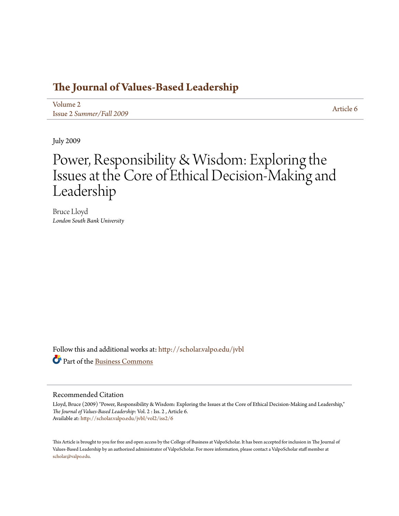### **[The Journal of Values-Based Leadership](http://scholar.valpo.edu/jvbl?utm_source=scholar.valpo.edu%2Fjvbl%2Fvol2%2Fiss2%2F6&utm_medium=PDF&utm_campaign=PDFCoverPages)**

[Volume 2](http://scholar.valpo.edu/jvbl/vol2?utm_source=scholar.valpo.edu%2Fjvbl%2Fvol2%2Fiss2%2F6&utm_medium=PDF&utm_campaign=PDFCoverPages) Issue 2 *[Summer/Fall 2009](http://scholar.valpo.edu/jvbl/vol2/iss2?utm_source=scholar.valpo.edu%2Fjvbl%2Fvol2%2Fiss2%2F6&utm_medium=PDF&utm_campaign=PDFCoverPages)* [Article 6](http://scholar.valpo.edu/jvbl/vol2/iss2/6?utm_source=scholar.valpo.edu%2Fjvbl%2Fvol2%2Fiss2%2F6&utm_medium=PDF&utm_campaign=PDFCoverPages)

July 2009

# Power, Responsibility & Wisdom: Exploring the Issues at the Core of Ethical Decision-Making and Leadership

Bruce Lloyd *London South Bank University*

Follow this and additional works at: [http://scholar.valpo.edu/jvbl](http://scholar.valpo.edu/jvbl?utm_source=scholar.valpo.edu%2Fjvbl%2Fvol2%2Fiss2%2F6&utm_medium=PDF&utm_campaign=PDFCoverPages) Part of the [Business Commons](http://network.bepress.com/hgg/discipline/622?utm_source=scholar.valpo.edu%2Fjvbl%2Fvol2%2Fiss2%2F6&utm_medium=PDF&utm_campaign=PDFCoverPages)

#### Recommended Citation

Lloyd, Bruce (2009) "Power, Responsibility & Wisdom: Exploring the Issues at the Core of Ethical Decision-Making and Leadership," *The Journal of Values-Based Leadership*: Vol. 2 : Iss. 2 , Article 6. Available at: [http://scholar.valpo.edu/jvbl/vol2/iss2/6](http://scholar.valpo.edu/jvbl/vol2/iss2/6?utm_source=scholar.valpo.edu%2Fjvbl%2Fvol2%2Fiss2%2F6&utm_medium=PDF&utm_campaign=PDFCoverPages)

This Article is brought to you for free and open access by the College of Business at ValpoScholar. It has been accepted for inclusion in The Journal of Values-Based Leadership by an authorized administrator of ValpoScholar. For more information, please contact a ValpoScholar staff member at [scholar@valpo.edu.](mailto:scholar@valpo.edu)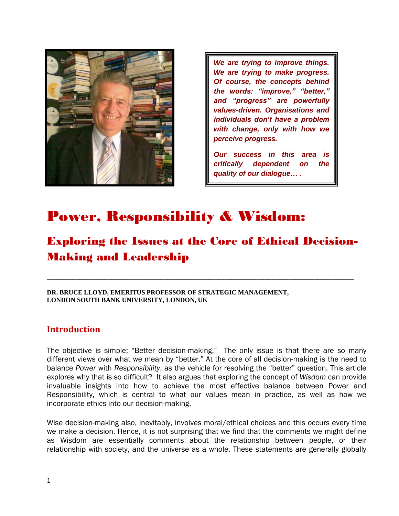

*We are trying to improve things. We are trying to make progress. Of course, the concepts behind the words: "improve," "better," and "progress" are powerfully values-driven. Organisations and individuals don't have a problem with change, only with how we perceive progress.* 

*Our success in this area is critically dependent on the quality of our dialogue… .*

## Power, Responsibility & Wisdom:

## Exploring the Issues at the Core of Ethical Decision-Making and Leadership

\_\_\_\_\_\_\_\_\_\_\_\_\_\_\_\_\_\_\_\_\_\_\_\_\_\_\_\_\_\_\_\_\_\_\_\_\_\_\_\_\_\_\_\_\_\_\_\_\_\_\_\_\_\_\_\_\_\_\_\_\_\_\_\_\_\_\_\_\_\_\_\_\_\_\_\_\_\_\_\_\_\_\_\_\_\_

**DR. BRUCE LLOYD, EMERITUS PROFESSOR OF STRATEGIC MANAGEMENT, LONDON SOUTH BANK UNIVERSITY, LONDON, UK** 

#### **Introduction**

The objective is simple: "Better decision-making." The only issue is that there are so many different views over what we mean by "better." At the core of all decision-making is the need to balance *Power* with *Responsibility*, as the vehicle for resolving the "better" question. This article explores why that is so difficult? It also argues that exploring the concept of *Wisdom* can provide invaluable insights into how to achieve the most effective balance between Power and Responsibility, which is central to what our values mean in practice, as well as how we incorporate ethics into our decision-making.

Wise decision-making also, inevitably, involves moral/ethical choices and this occurs every time we make a decision. Hence, it is not surprising that we find that the comments we might define as Wisdom are essentially comments about the relationship between people, or their relationship with society, and the universe as a whole. These statements are generally globally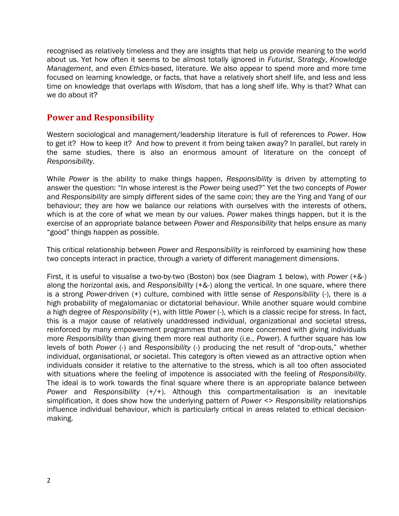recognised as relatively timeless and they are insights that help us provide meaning to the world about us. Yet how often it seems to be almost totally ignored in *Futurist*, *Strategy*, *Knowledge Management*, and even *Ethics*-based, literature. We also appear to spend more and more time focused on learning knowledge, or facts, that have a relatively short shelf life, and less and less time on knowledge that overlaps with *Wisdom*, that has a long shelf life. Why is that? What can we do about it?

#### **Power and Responsibility**

Western sociological and management/leadership literature is full of references to *Power*. How to get it? How to keep it? And how to prevent it from being taken away? In parallel, but rarely in the same studies, there is also an enormous amount of literature on the concept of *Responsibility*.

While *Power* is the ability to make things happen, *Responsibility* is driven by attempting to answer the question: ―In whose interest is the *Power* being used?‖ Yet the two concepts of *Power* and *Responsibility* are simply different sides of the same coin; they are the Ying and Yang of our behaviour; they are how we balance our relations with ourselves with the interests of others, which is at the core of what we mean by our values. *Power* makes things happen, but it is the exercise of an appropriate balance between *Power* and *Responsibility* that helps ensure as many "good" things happen as possible.

This critical relationship between *Power* and *Responsibility* is reinforced by examining how these two concepts interact in practice, through a variety of different management dimensions.

First, it is useful to visualise a two-by-two (Boston) box (see Diagram 1 below), with *Power* (+&-) along the horizontal axis, and *Responsibility* (+&-) along the vertical. In one square, where there is a strong *Power*-driven (+) culture, combined with little sense of *Responsibility* (-), there is a high probability of megalomaniac or dictatorial behaviour. While another square would combine a high degree of *Responsibility* (+), with little *Power* (-), which is a classic recipe for stress. In fact, this is a major cause of relatively unaddressed individual, organizational and societal stress, reinforced by many empowerment programmes that are more concerned with giving individuals more *Responsibility* than giving them more real authority (i.e., *Power*). A further square has low levels of both *Power* (-) and *Responsibility* (-) producing the net result of "drop-outs," whether individual, organisational, or societal. This category is often viewed as an attractive option when individuals consider it relative to the alternative to the stress, which is all too often associated with situations where the feeling of impotence is associated with the feeling of *Responsibility*. The ideal is to work towards the final square where there is an appropriate balance between *Power* and *Responsibility* (+/+). Although this compartmentalisation is an inevitable simplification, it does show how the underlying pattern of *Power* <> *Responsibility* relationships influence individual behaviour, which is particularly critical in areas related to ethical decisionmaking.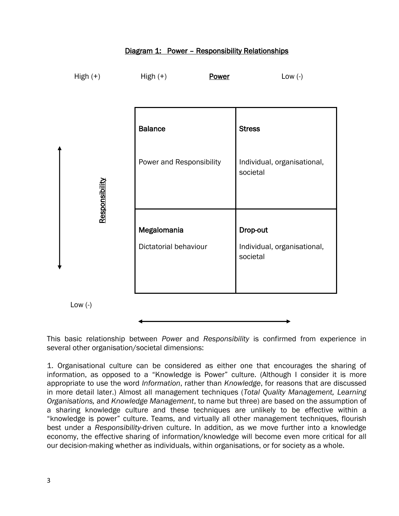#### Diagram 1: Power – Responsibility Relationships



This basic relationship between *Power* and *Responsibility* is confirmed from experience in several other organisation/societal dimensions:

1. Organisational culture can be considered as either one that encourages the sharing of information, as opposed to a "Knowledge is Power" culture. (Although I consider it is more appropriate to use the word *Information*, rather than *Knowledge*, for reasons that are discussed in more detail later.) Almost all management techniques (*Total Quality Management, Learning Organisations,* and *Knowledge Management*, to name but three) are based on the assumption of a sharing knowledge culture and these techniques are unlikely to be effective within a "knowledge is power" culture. Teams, and virtually all other management techniques, flourish best under a *Responsibility*-driven culture. In addition, as we move further into a knowledge economy, the effective sharing of information/knowledge will become even more critical for all our decision-making whether as individuals, within organisations, or for society as a whole.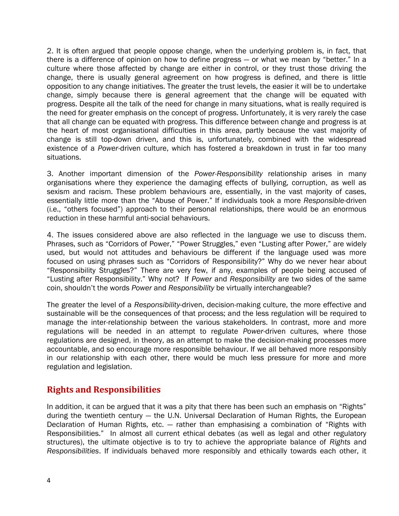2. It is often argued that people oppose change, when the underlying problem is, in fact, that there is a difference of opinion on how to define progress  $-$  or what we mean by "better." In a culture where those affected by change are either in control, or they trust those driving the change, there is usually general agreement on how progress is defined, and there is little opposition to any change initiatives. The greater the trust levels, the easier it will be to undertake change, simply because there is general agreement that the change will be equated with progress. Despite all the talk of the need for change in many situations, what is really required is the need for greater emphasis on the concept of progress. Unfortunately, it is very rarely the case that all change can be equated with progress. This difference between change and progress is at the heart of most organisational difficulties in this area, partly because the vast majority of change is still top-down driven, and this is, unfortunately, combined with the widespread existence of a *Power*-driven culture, which has fostered a breakdown in trust in far too many situations.

3. Another important dimension of the *Power-Responsibility* relationship arises in many organisations where they experience the damaging effects of bullying, corruption, as well as sexism and racism. These problem behaviours are, essentially, in the vast majority of cases, essentially little more than the "Abuse of Power." If individuals took a more *Responsible*-driven (i.e., "others focused") approach to their personal relationships, there would be an enormous reduction in these harmful anti-social behaviours.

4. The issues considered above are also reflected in the language we use to discuss them. Phrases, such as "Corridors of Power," "Power Struggles," even "Lusting after Power," are widely used, but would not attitudes and behaviours be different if the language used was more focused on using phrases such as "Corridors of Responsibility?" Why do we never hear about ―Responsibility Struggles?‖ There are very few, if any, examples of people being accused of ―Lusting after Responsibility.‖ Why not? If *Power* and *Responsibility* are two sides of the same coin, shouldn't the words *Power* and *Responsibility* be virtually interchangeable?

The greater the level of a *Responsibility*-driven, decision-making culture, the more effective and sustainable will be the consequences of that process; and the less regulation will be required to manage the inter-relationship between the various stakeholders. In contrast, more and more regulations will be needed in an attempt to regulate *Power*-driven cultures, where those regulations are designed, in theory, as an attempt to make the decision-making processes more accountable, and so encourage more responsible behaviour. If we all behaved more responsibly in our relationship with each other, there would be much less pressure for more and more regulation and legislation.

#### **Rights and Responsibilities**

In addition, it can be argued that it was a pity that there has been such an emphasis on "Rights" during the twentieth century — the U.N. Universal Declaration of Human Rights, the European Declaration of Human Rights, etc. — rather than emphasising a combination of "Rights with Responsibilities." In almost all current ethical debates (as well as legal and other regulatory structures), the ultimate objective is to try to achieve the appropriate balance of *Rights* and *Responsibilities*. If individuals behaved more responsibly and ethically towards each other, it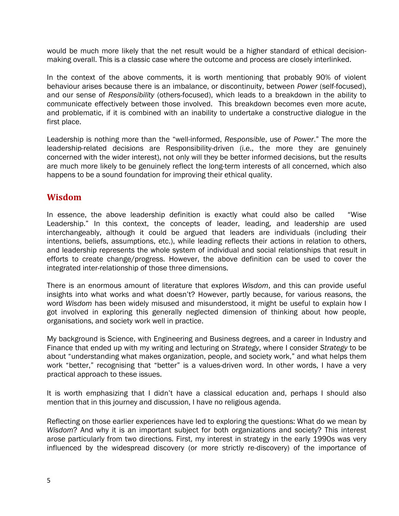would be much more likely that the net result would be a higher standard of ethical decisionmaking overall. This is a classic case where the outcome and process are closely interlinked.

In the context of the above comments, it is worth mentioning that probably 90% of violent behaviour arises because there is an imbalance, or discontinuity, between *Power* (self-focused), and our sense of *Responsibility* (others-focused), which leads to a breakdown in the ability to communicate effectively between those involved. This breakdown becomes even more acute, and problematic, if it is combined with an inability to undertake a constructive dialogue in the first place.

Leadership is nothing more than the "well-informed, *Responsible*, use of *Power*." The more the leadership-related decisions are Responsibility-driven (i.e., the more they are genuinely concerned with the wider interest), not only will they be better informed decisions, but the results are much more likely to be genuinely reflect the long-term interests of all concerned, which also happens to be a sound foundation for improving their ethical quality.

#### **Wisdom**

In essence, the above leadership definition is exactly what could also be called 
"Wise Leadership." In this context, the concepts of leader, leading, and leadership are used interchangeably, although it could be argued that leaders are individuals (including their intentions, beliefs, assumptions, etc.), while leading reflects their actions in relation to others, and leadership represents the whole system of individual and social relationships that result in efforts to create change/progress. However, the above definition can be used to cover the integrated inter-relationship of those three dimensions.

There is an enormous amount of literature that explores *Wisdom*, and this can provide useful insights into what works and what doesn't? However, partly because, for various reasons, the word *Wisdom* has been widely misused and misunderstood, it might be useful to explain how I got involved in exploring this generally neglected dimension of thinking about how people, organisations, and society work well in practice.

My background is Science, with Engineering and Business degrees, and a career in Industry and Finance that ended up with my writing and lecturing on *Strategy*, where I consider *Strategy* to be about "understanding what makes organization, people, and society work," and what helps them work "better," recognising that "better" is a values-driven word. In other words, I have a very practical approach to these issues.

It is worth emphasizing that I didn't have a classical education and, perhaps I should also mention that in this journey and discussion, I have no religious agenda.

Reflecting on those earlier experiences have led to exploring the questions: What do we mean by *Wisdom*? And why it is an important subject for both organizations and society? This interest arose particularly from two directions. First, my interest in strategy in the early 1990s was very influenced by the widespread discovery (or more strictly re-discovery) of the importance of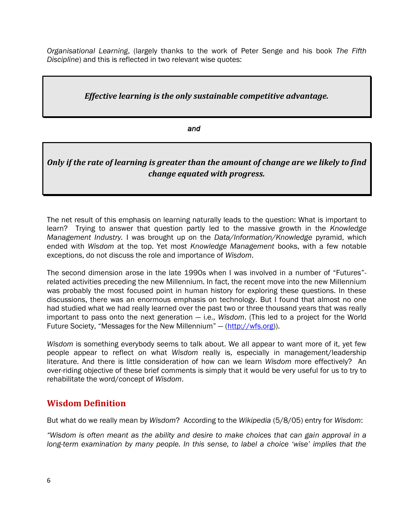*Organisational Learning*, (largely thanks to the work of Peter Senge and his book *The Fifth Discipline*) and this is reflected in two relevant wise quotes:

#### *Effective learning is the only sustainable competitive advantage.*

*and* 

*Only if the rate of learning is greater than the amount of change are we likely to find change equated with progress.*

The net result of this emphasis on learning naturally leads to the question: What is important to learn? Trying to answer that question partly led to the massive growth in the *Knowledge Management Industry.* I was brought up on the *Data/Information/Knowledge* pyramid, which ended with *Wisdom* at the top. Yet most *Knowledge Management* books, with a few notable exceptions, do not discuss the role and importance of *Wisdom*.

The second dimension arose in the late 1990s when I was involved in a number of "Futures"related activities preceding the new Millennium. In fact, the recent move into the new Millennium was probably the most focused point in human history for exploring these questions. In these discussions, there was an enormous emphasis on technology. But I found that almost no one had studied what we had really learned over the past two or three thousand years that was really important to pass onto the next generation ― i.e., *Wisdom*. (This led to a project for the World Future Society, "Messages for the New Millennium" — ([http://wfs.org\)](http://wfs.org/)).

*Wisdom* is something everybody seems to talk about. We all appear to want more of it, yet few people appear to reflect on what *Wisdom* really is, especially in management/leadership literature. And there is little consideration of how can we learn *Wisdom* more effectively? An over-riding objective of these brief comments is simply that it would be very useful for us to try to rehabilitate the word/concept of *Wisdom*.

#### **Wisdom Definition**

But what do we really mean by *Wisdom*? According to the *Wikipedia* (5/8/05) entry for *Wisdom*:

*―Wisdom is often meant as the ability and desire to make choices that can gain approval in a long-term examination by many people. In this sense, to label a choice ‗wise' implies that the*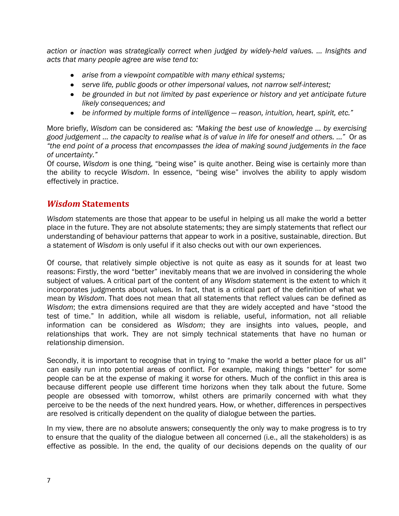*action or inaction was strategically correct when judged by widely-held values. … Insights and acts that many people agree are wise tend to:* 

- *arise from a viewpoint compatible with many ethical systems;*
- *serve life, public goods or other impersonal values, not narrow self-interest;*
- *be grounded in but not limited by past experience or history and yet anticipate future likely consequences; and*
- **•** be informed by multiple forms of intelligence reason, intuition, heart, spirit, etc."

More briefly, Wisdom can be considered as: "Making the best use of knowledge ... by exercising *good judgement … the capacity to realise what is of value in life for oneself and others. ...‖* Or as *―the end point of a process that encompasses the idea of making sound judgements in the face of uncertainty.‖*

Of course, Wisdom is one thing, "being wise" is quite another. Being wise is certainly more than the ability to recycle *Wisdom*. In essence, "being wise" involves the ability to apply wisdom effectively in practice.

#### *Wisdom* **Statements**

*Wisdom* statements are those that appear to be useful in helping us all make the world a better place in the future. They are not absolute statements; they are simply statements that reflect our understanding of behaviour patterns that appear to work in a positive, sustainable, direction. But a statement of *Wisdom* is only useful if it also checks out with our own experiences.

Of course, that relatively simple objective is not quite as easy as it sounds for at least two reasons: Firstly, the word "better" inevitably means that we are involved in considering the whole subject of values. A critical part of the content of any *Wisdom* statement is the extent to which it incorporates judgments about values. In fact, that is a critical part of the definition of what we mean by *Wisdom*. That does not mean that all statements that reflect values can be defined as *Wisdom*; the extra dimensions required are that they are widely accepted and have "stood the test of time." In addition, while all wisdom is reliable, useful, information, not all reliable information can be considered as *Wisdom*; they are insights into values, people, and relationships that work. They are not simply technical statements that have no human or relationship dimension.

Secondly, it is important to recognise that in trying to "make the world a better place for us all" can easily run into potential areas of conflict. For example, making things "better" for some people can be at the expense of making it worse for others. Much of the conflict in this area is because different people use different time horizons when they talk about the future. Some people are obsessed with tomorrow, whilst others are primarily concerned with what they perceive to be the needs of the next hundred years. How, or whether, differences in perspectives are resolved is critically dependent on the quality of dialogue between the parties.

In my view, there are no absolute answers; consequently the only way to make progress is to try to ensure that the quality of the dialogue between all concerned (i.e., all the stakeholders) is as effective as possible. In the end, the quality of our decisions depends on the quality of our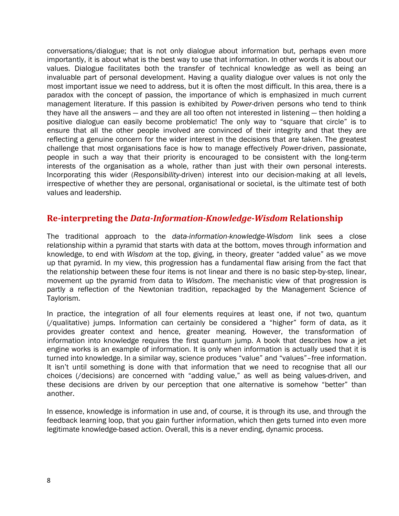conversations/dialogue; that is not only dialogue about information but, perhaps even more importantly, it is about what is the best way to use that information. In other words it is about our values. Dialogue facilitates both the transfer of technical knowledge as well as being an invaluable part of personal development. Having a quality dialogue over values is not only the most important issue we need to address, but it is often the most difficult. In this area, there is a paradox with the concept of passion, the importance of which is emphasized in much current management literature. If this passion is exhibited by *Power*-driven persons who tend to think they have all the answers — and they are all too often not interested in listening — then holding a positive dialogue can easily become problematic! The only way to "square that circle" is to ensure that all the other people involved are convinced of their integrity and that they are reflecting a genuine concern for the wider interest in the decisions that are taken. The greatest challenge that most organisations face is how to manage effectively *Power*-driven, passionate, people in such a way that their priority is encouraged to be consistent with the long-term interests of the organisation as a whole, rather than just with their own personal interests. Incorporating this wider (*Responsibility*-driven) interest into our decision-making at all levels, irrespective of whether they are personal, organisational or societal, is the ultimate test of both values and leadership.

#### **Re-interpreting the** *Data-Information-Knowledge-Wisdom* **Relationship**

The traditional approach to the *data-information-knowledge-Wisdom* link sees a close relationship within a pyramid that starts with data at the bottom, moves through information and knowledge, to end with *Wisdom* at the top, giving, in theory, greater "added value" as we move up that pyramid. In my view, this progression has a fundamental flaw arising from the fact that the relationship between these four items is not linear and there is no basic step-by-step, linear, movement up the pyramid from data to *Wisdom*. The mechanistic view of that progression is partly a reflection of the Newtonian tradition, repackaged by the Management Science of Taylorism.

In practice, the integration of all four elements requires at least one, if not two, quantum (/qualitative) jumps. Information can certainly be considered a "higher" form of data, as it provides greater context and hence, greater meaning. However, the transformation of information into knowledge requires the first quantum jump. A book that describes how a jet engine works is an example of information. It is only when information is actually used that it is turned into knowledge. In a similar way, science produces "value" and "values"-free information. It isn't until something is done with that information that we need to recognise that all our choices (/decisions) are concerned with "adding value," as well as being values-driven, and these decisions are driven by our perception that one alternative is somehow "better" than another.

In essence, knowledge is information in use and, of course, it is through its use, and through the feedback learning loop, that you gain further information, which then gets turned into even more legitimate knowledge-based action. Overall, this is a never ending, dynamic process.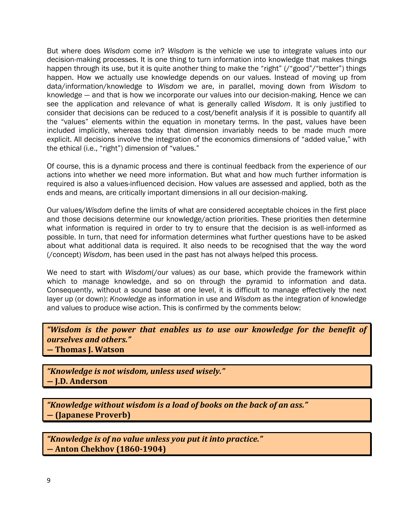But where does *Wisdom* come in? *Wisdom* is the vehicle we use to integrate values into our decision-making processes. It is one thing to turn information into knowledge that makes things happen through its use, but it is quite another thing to make the "right" (/"good"/"better") things happen. How we actually use knowledge depends on our values. Instead of moving up from data/information/knowledge to *Wisdom* we are, in parallel, moving down from *Wisdom* to knowledge ― and that is how we incorporate our values into our decision-making. Hence we can see the application and relevance of what is generally called *Wisdom*. It is only justified to consider that decisions can be reduced to a cost/benefit analysis if it is possible to quantify all the "values" elements within the equation in monetary terms. In the past, values have been included implicitly, whereas today that dimension invariably needs to be made much more explicit. All decisions involve the integration of the economics dimensions of "added value," with the ethical (i.e., "right") dimension of "values."

Of course, this is a dynamic process and there is continual feedback from the experience of our actions into whether we need more information. But what and how much further information is required is also a values-influenced decision. How values are assessed and applied, both as the ends and means, are critically important dimensions in all our decision-making.

Our values/*Wisdom* define the limits of what are considered acceptable choices in the first place and those decisions determine our knowledge/action priorities. These priorities then determine what information is required in order to try to ensure that the decision is as well-informed as possible. In turn, that need for information determines what further questions have to be asked about what additional data is required. It also needs to be recognised that the way the word (/concept) *Wisdom*, has been used in the past has not always helped this process.

We need to start with *Wisdom*(/our values) as our base, which provide the framework within which to manage knowledge, and so on through the pyramid to information and data. Consequently, without a sound base at one level, it is difficult to manage effectively the next layer up (or down): *Knowledge* as information in use and *Wisdom* as the integration of knowledge and values to produce wise action. This is confirmed by the comments below:

*"Wisdom is the power that enables us to use our knowledge for the benefit of ourselves and others."* **― Thomas J. Watson**

*"Knowledge is not wisdom, unless used wisely."* **― J.D. Anderson**

*"Knowledge without wisdom is a load of books on the back of an ass."* **― (Japanese Proverb)**

*"Knowledge is of no value unless you put it into practice."* **― Anton Chekhov (1860-1904)**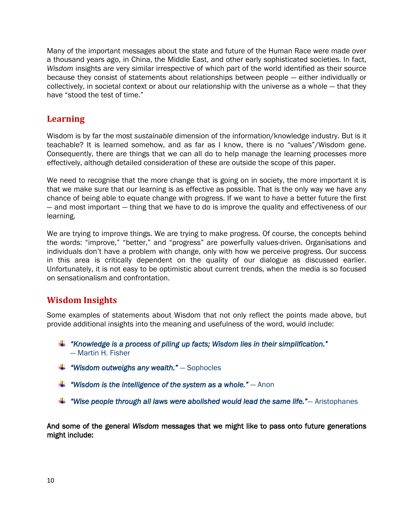Many of the important messages about the state and future of the Human Race were made over a thousand years ago, in China, the Middle East, and other early sophisticated societies. In fact, *Wisdom* insights are very similar irrespective of which part of the world identified as their source because they consist of statements about relationships between people ― either individually or collectively, in societal context or about our relationship with the universe as a whole ― that they have "stood the test of time."

#### **Learning**

Wisdom is by far the most *sustainable* dimension of the information/knowledge industry. But is it teachable? It is learned somehow, and as far as I know, there is no "values"/Wisdom gene. Consequently, there are things that we can all do to help manage the learning processes more effectively, although detailed consideration of these are outside the scope of this paper.

We need to recognise that the more change that is going on in society, the more important it is that we make sure that our learning is as effective as possible. That is the only way we have any chance of being able to equate change with progress. If we want to have a better future the first ― and most important ― thing that we have to do is improve the quality and effectiveness of our learning.

We are trying to improve things. We are trying to make progress. Of course, the concepts behind the words: "improve," "better," and "progress" are powerfully values-driven. Organisations and individuals don't have a problem with change, only with how we perceive progress. Our success in this area is critically dependent on the quality of our dialogue as discussed earlier. Unfortunately, it is not easy to be optimistic about current trends, when the media is so focused on sensationalism and confrontation.

### **Wisdom Insights**

Some examples of statements about Wisdom that not only reflect the points made above, but provide additional insights into the meaning and usefulness of the word, would include:

- *―Knowledge is a process of piling up facts; Wisdom lies in their simplification.‖* ― Martin H. Fisher
- *―Wisdom outweighs any wealth.‖* ― Sophocles
- **↓ "Wisdom is the intelligence of the system as a whole.**" Anon
- *―Wise people through all laws were abolished would lead the same life.‖*― Aristophanes

And some of the general *Wisdom* messages that we might like to pass onto future generations might include: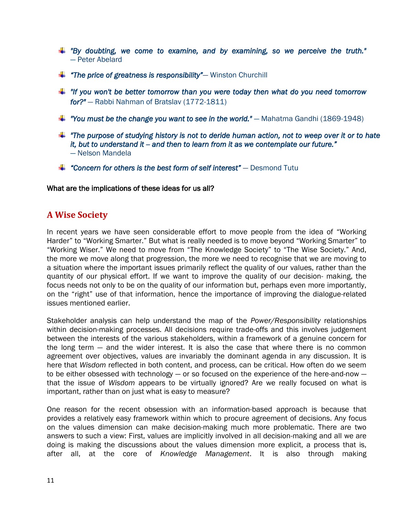- *"By doubting, we come to examine, and by examining, so we perceive the truth."* ― Peter Abelard
- *―The price of greatness is responsibility‖*― Winston Churchill
- *"If you won't be better tomorrow than you were today then what do you need tomorrow for?"* ― Rabbi Nahman of Bratslav (1772-1811)
- **+** "You must be the change you want to see in the world." Mahatma Gandhi (1869-1948)
- *"The purpose of studying history is not to deride human action, not to weep over it or to hate it, but to understand it - and then to learn from it as we contemplate our future.* ― Nelson Mandela
- *―Concern for others is the best form of self interest‖* ― Desmond Tutu

#### What are the implications of these ideas for us all?

#### **A Wise Society**

In recent years we have seen considerable effort to move people from the idea of "Working" Harder" to "Working Smarter." But what is really needed is to move beyond "Working Smarter" to "Working Wiser." We need to move from "The Knowledge Society" to "The Wise Society." And, the more we move along that progression, the more we need to recognise that we are moving to a situation where the important issues primarily reflect the quality of our values, rather than the quantity of our physical effort. If we want to improve the quality of our decision- making, the focus needs not only to be on the quality of our information but, perhaps even more importantly, on the "right" use of that information, hence the importance of improving the dialogue-related issues mentioned earlier.

Stakeholder analysis can help understand the map of the *Power/Responsibility* relationships within decision-making processes. All decisions require trade-offs and this involves judgement between the interests of the various stakeholders, within a framework of a genuine concern for the long term ― and the wider interest. It is also the case that where there is no common agreement over objectives, values are invariably the dominant agenda in any discussion. It is here that *Wisdom* reflected in both content, and process, can be critical. How often do we seem to be either obsessed with technology — or so focused on the experience of the here-and-now that the issue of *Wisdom* appears to be virtually ignored? Are we really focused on what is important, rather than on just what is easy to measure?

One reason for the recent obsession with an information-based approach is because that provides a relatively easy framework within which to procure agreement of decisions. Any focus on the values dimension can make decision-making much more problematic. There are two answers to such a view: First, values are implicitly involved in all decision-making and all we are doing is making the discussions about the values dimension more explicit, a process that is, after all, at the core of *Knowledge Management*. It is also through making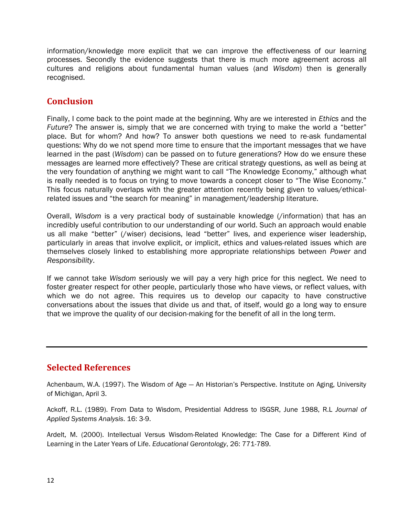information/knowledge more explicit that we can improve the effectiveness of our learning processes. Secondly the evidence suggests that there is much more agreement across all cultures and religions about fundamental human values (and *Wisdom*) then is generally recognised.

### **Conclusion**

Finally, I come back to the point made at the beginning. Why are we interested in *Ethics* and the *Future*? The answer is, simply that we are concerned with trying to make the world a "better" place. But for whom? And how? To answer both questions we need to re-ask fundamental questions: Why do we not spend more time to ensure that the important messages that we have learned in the past (*Wisdom*) can be passed on to future generations? How do we ensure these messages are learned more effectively? These are critical strategy questions, as well as being at the very foundation of anything we might want to call "The Knowledge Economy," although what is really needed is to focus on trying to move towards a concept closer to "The Wise Economy." This focus naturally overlaps with the greater attention recently being given to values/ethicalrelated issues and "the search for meaning" in management/leadership literature.

Overall, *Wisdom* is a very practical body of sustainable knowledge (/information) that has an incredibly useful contribution to our understanding of our world. Such an approach would enable us all make "better" (/wiser) decisions, lead "better" lives, and experience wiser leadership, particularly in areas that involve explicit, or implicit, ethics and values-related issues which are themselves closely linked to establishing more appropriate relationships between *Power* and *Responsibility*.

If we cannot take *Wisdom* seriously we will pay a very high price for this neglect. We need to foster greater respect for other people, particularly those who have views, or reflect values, with which we do not agree. This requires us to develop our capacity to have constructive conversations about the issues that divide us and that, of itself, would go a long way to ensure that we improve the quality of our decision-making for the benefit of all in the long term.

#### **Selected References**

Achenbaum, W.A. (1997). The Wisdom of Age ― An Historian's Perspective. Institute on Aging, University of Michigan, April 3.

Ackoff, R.L. (1989). From Data to Wisdom, Presidential Address to ISGSR, June 1988, R.L *Journal of Applied Systems Analysis*. 16: 3-9.

Ardelt, M. (2000). Intellectual Versus Wisdom-Related Knowledge: The Case for a Different Kind of Learning in the Later Years of Life. *Educational Gerontology*, 26: 771-789.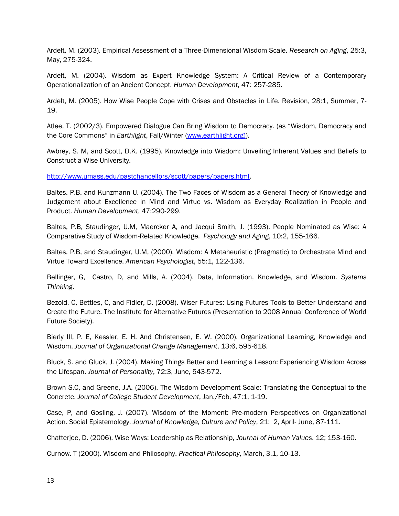Ardelt, M. (2003). Empirical Assessment of a Three-Dimensional Wisdom Scale. *Research on Aging*, 25:3, May, 275-324.

Ardelt, M. (2004). Wisdom as Expert Knowledge System: A Critical Review of a Contemporary Operationalization of an Ancient Concept. *Human Development*, 47: 257-285.

Ardelt, M. (2005). How Wise People Cope with Crises and Obstacles in Life. Revision, 28:1, Summer, 7- 19.

Atlee, T. (2002/3). Empowered Dialogue Can Bring Wisdom to Democracy. (as "Wisdom, Democracy and the Core Commons" in *Earthlight*, Fall/Winter [\(www.earthlight.org\)\)](http://www.earthlight.org)/).

Awbrey, S. M, and Scott, D.K. (1995). Knowledge into Wisdom: Unveiling Inherent Values and Beliefs to Construct a Wise University.

[http://www.umass.edu/pastchancellors/scott/papers/papers.html.](http://www.umass.edu/pastchancellors/scott/papers/papers.html)

Baltes. P.B. and Kunzmann U. (2004). The Two Faces of Wisdom as a General Theory of Knowledge and Judgement about Excellence in Mind and Virtue vs. Wisdom as Everyday Realization in People and Product. *Human Development*, 47:290-299.

Baltes, P.B, Staudinger, U.M, Maercker A, and Jacqui Smith, J. (1993). People Nominated as Wise: A Comparative Study of Wisdom-Related Knowledge. *Psychology and Aging*, 10:2, 155-166.

Baltes, P.B, and Staudinger, U.M, (2000). Wisdom: A Metaheuristic (Pragmatic) to Orchestrate Mind and Virtue Toward Excellence. *American Psychologist*, 55:1, 122-136.

Bellinger, G, Castro, D, and Mills, A. (2004). Data, Information, Knowledge, and Wisdom. *Systems Thinking*.

Bezold, C, Bettles, C, and Fidler, D. (2008). Wiser Futures: Using Futures Tools to Better Understand and Create the Future. The Institute for Alternative Futures (Presentation to 2008 Annual Conference of World Future Society).

Bierly III, P. E, Kessler, E. H. And Christensen, E. W. (2000). Organizational Learning, Knowledge and Wisdom. *Journal of Organizational Change Management*, 13:6, 595-618.

Bluck, S. and Gluck, J. (2004). Making Things Better and Learning a Lesson: Experiencing Wisdom Across the Lifespan. *Journal of Personality*, 72:3, June, 543-572.

Brown S.C, and Greene, J.A. (2006). The Wisdom Development Scale: Translating the Conceptual to the Concrete. *Journal of College Student Development*, Jan./Feb, 47:1, 1-19.

Case, P, and Gosling, J. (2007). Wisdom of the Moment: Pre-modern Perspectives on Organizational Action. Social Epistemology. *Journal of Knowledge, Culture and Policy*, 21: 2, April- June, 87-111.

Chatterjee, D. (2006). Wise Ways: Leadership as Relationship, *Journal of Human Values*. 12; 153-160.

Curnow. T (2000). Wisdom and Philosophy. *Practical Philosophy*, March, 3.1, 10-13.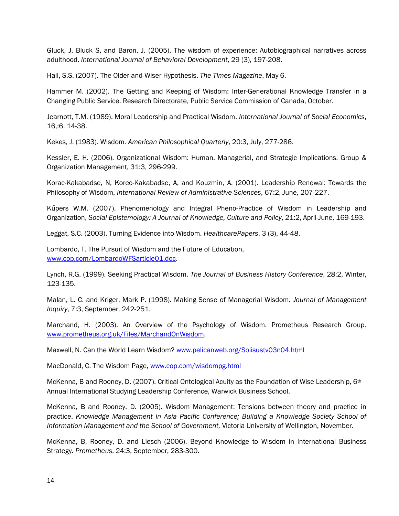Gluck, J, Bluck S, and Baron, J. (2005). The wisdom of experience: Autobiographical narratives across adulthood. *International Journal of Behavioral Development*, 29 (3), 197-208.

Hall, S.S. (2007). The Older-and-Wiser Hypothesis. *The Times Magazine*, May 6.

Hammer M. (2002). The Getting and Keeping of Wisdom: Inter-Generational Knowledge Transfer in a Changing Public Service. Research Directorate, Public Service Commission of Canada, October.

Jearnott, T.M. (1989). Moral Leadership and Practical Wisdom. *International Journal of Social Economics*, 16,:6, 14-38.

Kekes, J. (1983). Wisdom. *American Philosophical Quarterly*, 20:3, July, 277-286.

Kessler, E. H. (2006). Organizational Wisdom: Human, Managerial, and Strategic Implications. Group & Organization Management, 31:3, 296-299.

Korac-Kakabadse, N, Korec-Kakabadse, A, and Kouzmin, A. (2001). Leadership Renewal: Towards the Philosophy of Wisdom, *International Review of Administrative Sciences*, 67:2, June, 207-227.

Kűpers W.M. (2007). Phenomenology and Integral Pheno-Practice of Wisdom in Leadership and Organization, *Social Epistemology: A Journal of Knowledge, Culture and Policy*, 21:2, April-June, 169-193.

Leggat, S.C. (2003). Turning Evidence into Wisdom. *HealthcarePapers*, 3 (3), 44-48.

Lombardo, T. The Pursuit of Wisdom and the Future of Education, [www.cop.com/LombardoWFSarticle01.doc.](http://www.cop.com/LombardoWFSarticle01.doc)

Lynch, R.G. (1999). Seeking Practical Wisdom. *The Journal of Business History Conference*, 28:2, Winter, 123-135.

Malan, L. C. and Kriger, Mark P. (1998). Making Sense of Managerial Wisdom. *Journal of Management Inquiry*, 7:3, September, 242-251.

Marchand, H. (2003). An Overview of the Psychology of Wisdom. Prometheus Research Group. [www.prometheus.org.uk/Files/MarchandOnWisdom.](http://www.prometheus.org.uk/Files/MarchandOnWisdom)

Maxwell, N. Can the World Learn Wisdom? [www.pelicanweb.org/Solisustv03n04.html](http://www.pelicanweb.org/Solisustv03n04.html)

MacDonald, C. The Wisdom Page, [www.cop.com/wisdompg.html](http://www.cop.com/wisdompg.html)

McKenna, B and Rooney, D. (2007). Critical Ontological Acuity as the Foundation of Wise Leadership, 6th Annual International Studying Leadership Conference, Warwick Business School.

McKenna, B and Rooney, D. (2005). Wisdom Management: Tensions between theory and practice in practice. *Knowledge Management in Asia Pacific Conference; Building a Knowledge Society School of Information Management and the School of Government,* Victoria University of Wellington, November.

McKenna, B, Rooney, D. and Liesch (2006). Beyond Knowledge to Wisdom in International Business Strategy. *Prometheus*, 24:3, September, 283-300.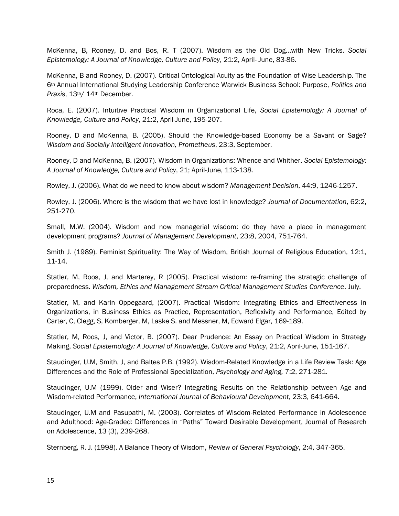McKenna, B, Rooney, D, and Bos, R. T (2007). Wisdom as the Old Dog...with New Tricks. *Social Epistemology: A Journal of Knowledge, Culture and Policy*, 21:2, April- June, 83-86.

McKenna, B and Rooney, D. (2007). Critical Ontological Acuity as the Foundation of Wise Leadership. The 6th Annual International Studying Leadership Conference Warwick Business School: Purpose, *Politics and Praxis*, 13th/ 14th December.

Roca, E. (2007). Intuitive Practical Wisdom in Organizational Life, *Social Epistemology: A Journal of Knowledge, Culture and Policy*, 21:2, April-June, 195-207.

Rooney, D and McKenna, B. (2005). Should the Knowledge-based Economy be a Savant or Sage? *Wisdom and Socially Intelligent Innovation, Prometheus*, 23:3, September.

Rooney, D and McKenna, B. (2007). Wisdom in Organizations: Whence and Whither. *Social Epistemology: A Journal of Knowledge, Culture and Policy*, 21; April-June, 113-138.

Rowley, J. (2006). What do we need to know about wisdom? *Management Decision*, 44:9, 1246-1257.

Rowley, J. (2006). Where is the wisdom that we have lost in knowledge? *Journal of Documentation*, 62:2, 251-270.

Small, M.W. (2004). Wisdom and now managerial wisdom: do they have a place in management development programs? *Journal of Management Development*, 23:8, 2004, 751-764.

Smith J. (1989). Feminist Spirituality: The Way of Wisdom, British Journal of Religious Education, 12:1, 11-14.

Statler, M, Roos, J, and Marterey, R (2005). Practical wisdom: re-framing the strategic challenge of preparedness. *Wisdom, Ethics and Management Stream Critical Management Studies Conference*. July.

Statler, M, and Karin Oppegaard, (2007). Practical Wisdom: Integrating Ethics and Effectiveness in Organizations, in Business Ethics as Practice, Representation, Reflexivity and Performance, Edited by Carter, C, Clegg, S, Komberger, M, Laske S. and Messner, M, Edward Elgar, 169-189.

Statler, M, Roos, J, and Victor, B. (2007). Dear Prudence: An Essay on Practical Wisdom in Strategy Making, *Social Epistemology: A Journal of Knowledge, Culture and Policy*, 21:2, April-June, 151-167.

Staudinger, U.M, Smith, J, and Baltes P.B. (1992). Wisdom-Related Knowledge in a Life Review Task: Age Differences and the Role of Professional Specialization, *Psychology and Aging,* 7:2, 271-281.

Staudinger, U.M (1999). Older and Wiser? Integrating Results on the Relationship between Age and Wisdom-related Performance, *International Journal of Behavioural Development*, 23:3, 641-664.

Staudinger, U.M and Pasupathi, M. (2003). Correlates of Wisdom-Related Performance in Adolescence and Adulthood: Age-Graded: Differences in "Paths" Toward Desirable Development, Journal of Research on Adolescence, 13 (3), 239-268.

Sternberg, R. J. (1998). A Balance Theory of Wisdom, *Review of General Psychology*, 2:4, 347-365.